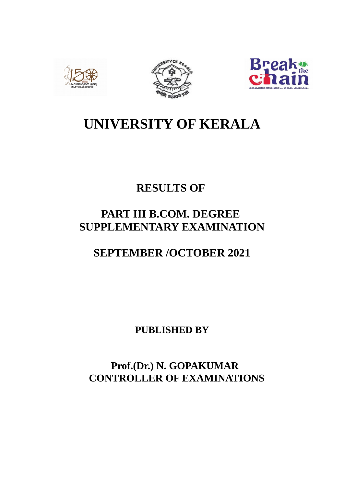





# **UNIVERSITY OF KERALA**

# **RESULTS OF**

# **PART III B.COM. DEGREE SUPPLEMENTARY EXAMINATION**

# **SEPTEMBER /OCTOBER 2021**

**PUBLISHED BY**

 **Prof.(Dr.) N. GOPAKUMAR CONTROLLER OF EXAMINATIONS**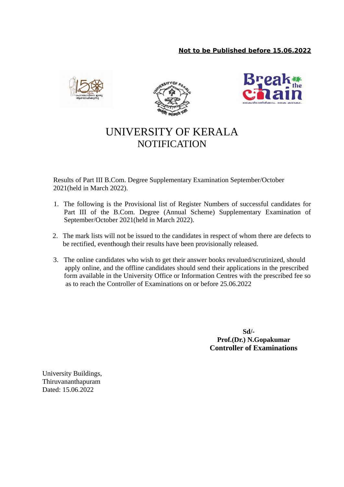





## UNIVERSITY OF KERALA **NOTIFICATION**

Results of Part III B.Com. Degree Supplementary Examination September/October 2021(held in March 2022).

- 1. The following is the Provisional list of Register Numbers of successful candidates for Part III of the B.Com. Degree (Annual Scheme) Supplementary Examination of September/October 2021(held in March 2022).
- 2. The mark lists will not be issued to the candidates in respect of whom there are defects to be rectified, eventhough their results have been provisionally released.
- 3. The online candidates who wish to get their answer books revalued/scrutinized, should apply online, and the offline candidates should send their applications in the prescribed form available in the University Office or Information Centres with the prescribed fee so as to reach the Controller of Examinations on or before 25.06.2022

 **Sd/- Prof.(Dr.) N.Gopakumar Controller of Examinations**

University Buildings, Thiruvananthapuram Dated: 15.06.2022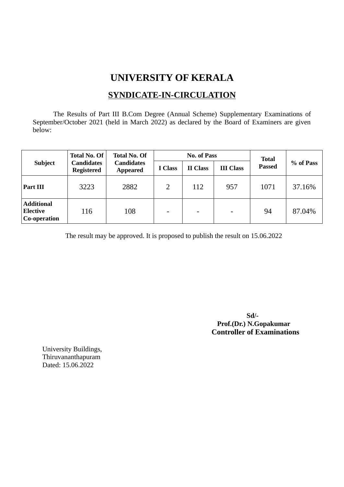## **UNIVERSITY OF KERALA**

## **SYNDICATE-IN-CIRCULATION**

The Results of Part III B.Com Degree (Annual Scheme) Supplementary Examinations of September/October 2021 (held in March 2022) as declared by the Board of Examiners are given below:

|                                                      | <b>Total No. Of</b>                    | <b>Total No. Of</b><br><b>Candidates</b><br><b>Appeared</b> |                          | <b>No. of Pass</b>       | <b>Total</b>             |               |           |
|------------------------------------------------------|----------------------------------------|-------------------------------------------------------------|--------------------------|--------------------------|--------------------------|---------------|-----------|
| <b>Subject</b>                                       | <b>Candidates</b><br><b>Registered</b> |                                                             | I Class                  | <b>II</b> Class          | <b>III Class</b>         | <b>Passed</b> | % of Pass |
| Part III                                             | 3223                                   | 2882                                                        | $\overline{2}$           | 112                      | 957                      | 1071          | 37.16%    |
| <b>Additional</b><br><b>Elective</b><br>Co-operation | 116                                    | 108                                                         | $\overline{\phantom{a}}$ | $\overline{\phantom{0}}$ | $\overline{\phantom{0}}$ | 94            | 87.04%    |

The result may be approved. It is proposed to publish the result on 15.06.2022

 **Sd/- Prof.(Dr.) N.Gopakumar Controller of Examinations**

University Buildings, Thiruvananthapuram Dated: 15.06.2022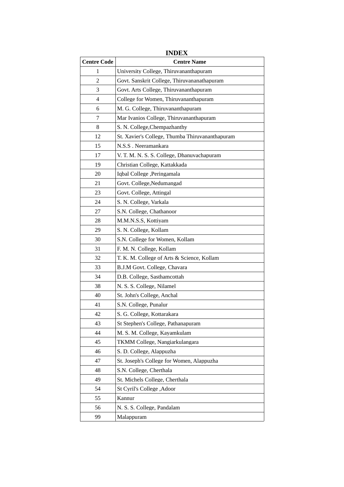|                    | <b>INDEX</b>                                    |  |  |  |
|--------------------|-------------------------------------------------|--|--|--|
| <b>Centre Code</b> | <b>Centre Name</b>                              |  |  |  |
| $\mathbf{1}$       | University College, Thiruvananthapuram          |  |  |  |
| 2                  | Govt. Sanskrit College, Thiruvananathapuram     |  |  |  |
| 3                  | Govt. Arts College, Thiruvananthapuram          |  |  |  |
| 4                  | College for Women, Thiruvananthapuram           |  |  |  |
| 6                  | M. G. College, Thiruvananthapuram               |  |  |  |
| 7                  | Mar Ivanios College, Thiruvananthapuram         |  |  |  |
| 8                  | S. N. College, Chempazhanthy                    |  |  |  |
| 12                 | St. Xavier's College, Thumba Thiruvananthapuram |  |  |  |
| 15                 | N.S.S. Neeramankara                             |  |  |  |
| 17                 | V. T. M. N. S. S. College, Dhanuvachapuram      |  |  |  |
| 19                 | Christian College, Kattakkada                   |  |  |  |
| 20                 | Iqbal College , Peringamala                     |  |  |  |
| 21                 | Govt. College, Nedumangad                       |  |  |  |
| 23                 | Govt. College, Attingal                         |  |  |  |
| 24                 | S. N. College, Varkala                          |  |  |  |
| 27                 | S.N. College, Chathanoor                        |  |  |  |
| 28                 | M.M.N.S.S, Kottiyam                             |  |  |  |
| 29                 | S. N. College, Kollam                           |  |  |  |
| 30                 | S.N. College for Women, Kollam                  |  |  |  |
| 31                 | F. M. N. College, Kollam                        |  |  |  |
| 32                 | T. K. M. College of Arts & Science, Kollam      |  |  |  |
| 33                 | B.J.M Govt. College, Chavara                    |  |  |  |
| 34                 | D.B. College, Sasthamcottah                     |  |  |  |
| 38                 | N. S. S. College, Nilamel                       |  |  |  |
| 40                 | St. John's College, Anchal                      |  |  |  |
| 41                 | S.N. College, Punalur                           |  |  |  |
| 42                 | S. G. College, Kottarakara                      |  |  |  |
| 43                 | St Stephen's College, Pathanapuram              |  |  |  |
| 44                 | M. S. M. College, Kayamkulam                    |  |  |  |
| 45                 | TKMM College, Nangiarkulangara                  |  |  |  |
| 46                 | S. D. College, Alappuzha                        |  |  |  |
| 47                 | St. Joseph's College for Women, Alappuzha       |  |  |  |
| 48                 | S.N. College, Cherthala                         |  |  |  |
| 49                 | St. Michels College, Cherthala                  |  |  |  |
| 54                 | St Cyril's College , Adoor                      |  |  |  |
| 55                 | Kannur                                          |  |  |  |
| 56                 | N. S. S. College, Pandalam                      |  |  |  |
| 99                 | Malappuram                                      |  |  |  |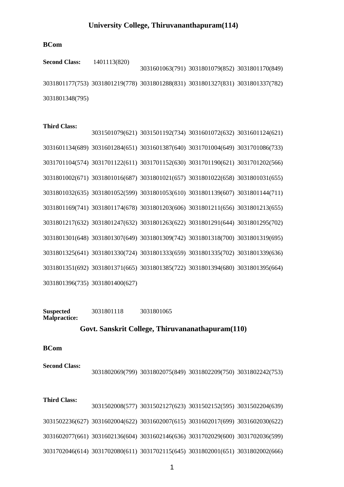## **University College, Thiruvananthapuram(114)**

#### **BCom**

**Second Class:** 1401113(820) 3031601063(791) 3031801079(852) 3031801170(849) 3031801177(753) 3031801219(778) 3031801288(831) 3031801327(831) 3031801337(782) 3031801348(795)

#### **Third Class:**

3031501079(621) 3031501192(734) 3031601072(632) 3031601124(621) 3031601134(689) 3031601284(651) 3031601387(640) 3031701004(649) 3031701086(733) 3031701104(574) 3031701122(611) 3031701152(630) 3031701190(621) 3031701202(566) 3031801002(671) 3031801016(687) 3031801021(657) 3031801022(658) 3031801031(655) 3031801032(635) 3031801052(599) 3031801053(610) 3031801139(607) 3031801144(711) 3031801169(741) 3031801174(678) 3031801203(606) 3031801211(656) 3031801213(655) 3031801217(632) 3031801247(632) 3031801263(622) 3031801291(644) 3031801295(702) 3031801301(648) 3031801307(649) 3031801309(742) 3031801318(700) 3031801319(695) 3031801325(641) 3031801330(724) 3031801333(659) 3031801335(702) 3031801339(636) 3031801351(692) 3031801371(665) 3031801385(722) 3031801394(680) 3031801395(664) 3031801396(735) 3031801400(627)

**Suspected Malpractice:** 3031801118 3031801065

#### **Govt. Sanskrit College, Thiruvananathapuram(110)**

#### **BCom**

**Second Class:** 3031802069(799) 3031802075(849) 3031802209(750) 3031802242(753)

#### **Third Class:**

3031502008(577) 3031502127(623) 3031502152(595) 3031502204(639) 3031502236(627) 3031602004(622) 3031602007(615) 3031602017(699) 3031602030(622) 3031602077(661) 3031602136(604) 3031602146(636) 3031702029(600) 3031702036(599) 3031702046(614) 3031702080(611) 3031702115(645) 3031802001(651) 3031802002(666)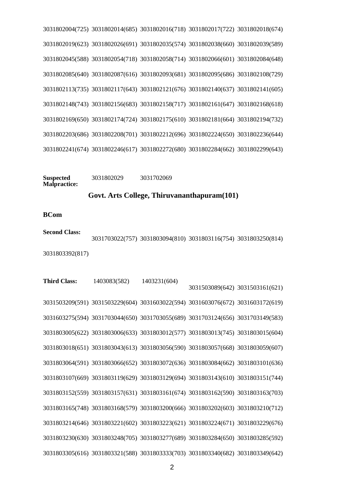3031802004(725) 3031802014(685) 3031802016(718) 3031802017(722) 3031802018(674) 3031802019(623) 3031802026(691) 3031802035(574) 3031802038(660) 3031802039(589) 3031802045(588) 3031802054(718) 3031802058(714) 3031802066(601) 3031802084(648) 3031802085(640) 3031802087(616) 3031802093(681) 3031802095(686) 3031802108(729) 3031802113(735) 3031802117(643) 3031802121(676) 3031802140(637) 3031802141(605) 3031802148(743) 3031802156(683) 3031802158(717) 3031802161(647) 3031802168(618) 3031802169(650) 3031802174(724) 3031802175(610) 3031802181(664) 3031802194(732) 3031802203(686) 3031802208(701) 3031802212(696) 3031802224(650) 3031802236(644) 3031802241(674) 3031802246(617) 3031802272(680) 3031802284(662) 3031802299(643)

#### **Suspected Malpractice:** 3031802029 3031702069

#### **Govt. Arts College, Thiruvananthapuram(101)**

**BCom**

**Second Class:** 3031703022(757) 3031803094(810) 3031803116(754) 3031803250(814) 3031803392(817)

**Third Class:** 1403083(582) 1403231(604) 3031503089(642) 3031503161(621) 3031503209(591) 3031503229(604) 3031603022(594) 3031603076(672) 3031603172(619) 3031603275(594) 3031703044(650) 3031703055(689) 3031703124(656) 3031703149(583) 3031803005(622) 3031803006(633) 3031803012(577) 3031803013(745) 3031803015(604) 3031803018(651) 3031803043(613) 3031803056(590) 3031803057(668) 3031803059(607) 3031803064(591) 3031803066(652) 3031803072(636) 3031803084(662) 3031803101(636) 3031803107(669) 3031803119(629) 3031803129(694) 3031803143(610) 3031803151(744) 3031803152(559) 3031803157(631) 3031803161(674) 3031803162(590) 3031803163(703) 3031803165(748) 3031803168(579) 3031803200(666) 3031803202(603) 3031803210(712) 3031803214(646) 3031803221(602) 3031803223(621) 3031803224(671) 3031803229(676) 3031803230(630) 3031803248(705) 3031803277(689) 3031803284(650) 3031803285(592) 3031803305(616) 3031803321(588) 3031803333(703) 3031803340(682) 3031803349(642)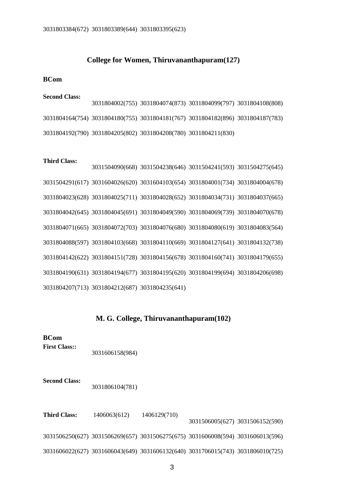#### **College for Women, Thiruvananthapuram(127)**

#### **BCom**

#### **Second Class:**

3031804002(755) 3031804074(873) 3031804099(797) 3031804108(808) 3031804164(754) 3031804180(755) 3031804181(767) 3031804182(896) 3031804187(783) 3031804192(790) 3031804205(802) 3031804208(780) 3031804211(830)

#### **Third Class:**

3031504090(668) 3031504238(646) 3031504241(593) 3031504275(645) 3031504291(617) 3031604026(620) 3031604103(654) 3031804001(734) 3031804004(678) 3031804023(628) 3031804025(711) 3031804028(652) 3031804034(731) 3031804037(665) 3031804042(645) 3031804045(691) 3031804049(590) 3031804069(739) 3031804070(678) 3031804071(665) 3031804072(703) 3031804076(680) 3031804080(619) 3031804083(564) 3031804088(597) 3031804103(668) 3031804110(669) 3031804127(641) 3031804132(738) 3031804142(622) 3031804151(728) 3031804156(678) 3031804160(741) 3031804179(655) 3031804190(631) 3031804194(677) 3031804195(620) 3031804199(694) 3031804206(698) 3031804207(713) 3031804212(687) 3031804235(641)

#### **M. G. College, Thiruvananthapuram(102)**

**BCom First Class::**

3031606158(984)

**Second Class:**

3031806104(781)

**Third Class:** 1406063(612) 1406129(710) 3031506005(627) 3031506152(590) 3031506250(627) 3031506269(657) 3031506275(675) 3031606008(594) 3031606013(596) 3031606022(627) 3031606043(649) 3031606132(640) 3031706015(743) 3031806010(725)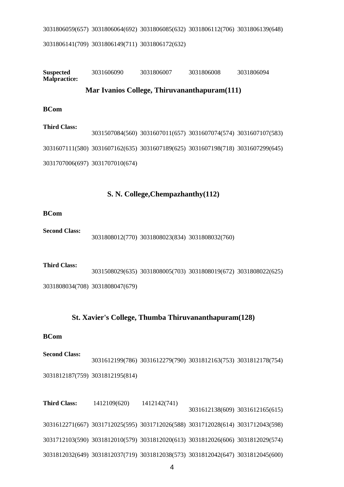3031806059(657) 3031806064(692) 3031806085(632) 3031806112(706) 3031806139(648) 3031806141(709) 3031806149(711) 3031806172(632)

## **Suspected Malpractice:** 3031606090 3031806007 3031806008 3031806094 **Mar Ivanios College, Thiruvananthapuram(111) BCom**

**Third Class:** 3031507084(560) 3031607011(657) 3031607074(574) 3031607107(583) 3031607111(580) 3031607162(635) 3031607189(625) 3031607198(718) 3031607299(645) 3031707006(697) 3031707010(674)

## **S. N. College,Chempazhanthy(112)**

#### **BCom**

**Second Class:** 3031808012(770) 3031808023(834) 3031808032(760)

**Third Class:** 3031508029(635) 3031808005(703) 3031808019(672) 3031808022(625) 3031808034(708) 3031808047(679)

## **St. Xavier's College, Thumba Thiruvananthapuram(128)**

#### **BCom**

**Second Class:** 3031612199(786) 3031612279(790) 3031812163(753) 3031812178(754) 3031812187(759) 3031812195(814)

**Third Class:** 1412109(620) 1412142(741) 3031612138(609) 3031612165(615) 3031612271(667) 3031712025(595) 3031712026(588) 3031712028(614) 3031712043(598) 3031712103(590) 3031812010(579) 3031812020(613) 3031812026(606) 3031812029(574) 3031812032(649) 3031812037(719) 3031812038(573) 3031812042(647) 3031812045(600)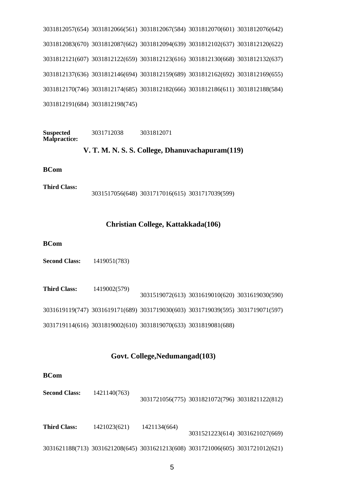3031812057(654) 3031812066(561) 3031812067(584) 3031812070(601) 3031812076(642) 3031812083(670) 3031812087(662) 3031812094(639) 3031812102(637) 3031812120(622) 3031812121(607) 3031812122(659) 3031812123(616) 3031812130(668) 3031812132(637) 3031812137(636) 3031812146(694) 3031812159(689) 3031812162(692) 3031812169(655) 3031812170(746) 3031812174(685) 3031812182(666) 3031812186(611) 3031812188(584) 3031812191(684) 3031812198(745)

**Suspected Malpractice:** 3031712038 3031812071

## **V. T. M. N. S. S. College, Dhanuvachapuram(119)**

#### **BCom**

**Third Class:** 3031517056(648) 3031717016(615) 3031717039(599)

### **Christian College, Kattakkada(106)**

**BCom**

**Second Class:** 1419051(783)

| <b>Third Class:</b> | 1419002(579) |                                                                                 | 3031519072(613) 3031619010(620) 3031619030(590) |  |
|---------------------|--------------|---------------------------------------------------------------------------------|-------------------------------------------------|--|
|                     |              | 3031619119(747) 3031619171(689) 3031719030(603) 3031719039(595) 3031719071(597) |                                                 |  |
|                     |              | 3031719114(616) 3031819002(610) 3031819070(633) 3031819081(688)                 |                                                 |  |

#### **Govt. College,Nedumangad(103)**

#### **BCom**

| <b>Second Class:</b> | 1421140(763) |                                                 |  |
|----------------------|--------------|-------------------------------------------------|--|
|                      |              | 3031721056(775) 3031821072(796) 3031821122(812) |  |

**Third Class:** 1421023(621) 1421134(664) 3031521223(614) 3031621027(669) 3031621188(713) 3031621208(645) 3031621213(608) 3031721006(605) 3031721012(621)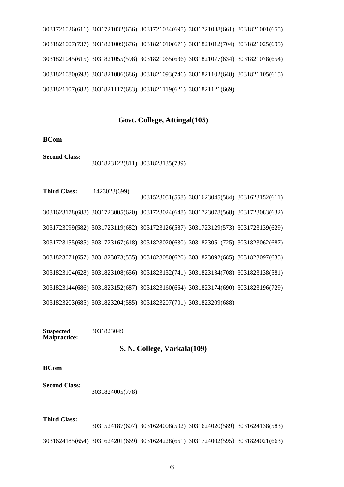3031721026(611) 3031721032(656) 3031721034(695) 3031721038(661) 3031821001(655) 3031821007(737) 3031821009(676) 3031821010(671) 3031821012(704) 3031821025(695) 3031821045(615) 3031821055(598) 3031821065(636) 3031821077(634) 3031821078(654) 3031821080(693) 3031821086(686) 3031821093(746) 3031821102(648) 3031821105(615) 3031821107(682) 3031821117(683) 3031821119(621) 3031821121(669)

#### **Govt. College, Attingal(105)**

#### **BCom**

**Second Class:** 3031823122(811) 3031823135(789)

**Third Class:** 1423023(699) 3031523051(558) 3031623045(584) 3031623152(611) 3031623178(688) 3031723005(620) 3031723024(648) 3031723078(568) 3031723083(632) 3031723099(582) 3031723119(682) 3031723126(587) 3031723129(573) 3031723139(629) 3031723155(685) 3031723167(618) 3031823020(630) 3031823051(725) 3031823062(687) 3031823071(657) 3031823073(555) 3031823080(620) 3031823092(685) 3031823097(635) 3031823104(628) 3031823108(656) 3031823132(741) 3031823134(708) 3031823138(581) 3031823144(686) 3031823152(687) 3031823160(664) 3031823174(690) 3031823196(729) 3031823203(685) 3031823204(585) 3031823207(701) 3031823209(688)

**Suspected Malpractice:** 3031823049

#### **S. N. College, Varkala(109)**

**BCom**

**Second Class:** 3031824005(778)

#### **Third Class:**

3031524187(607) 3031624008(592) 3031624020(589) 3031624138(583) 3031624185(654) 3031624201(669) 3031624228(661) 3031724002(595) 3031824021(663)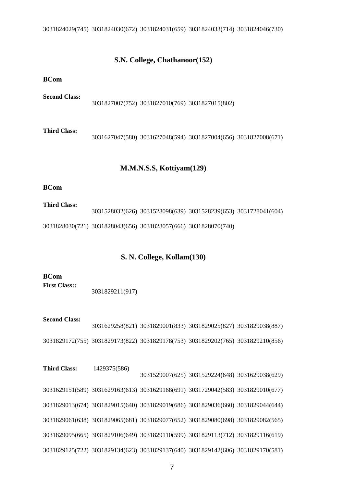### **S.N. College, Chathanoor(152)**

**BCom**

**Second Class:** 3031827007(752) 3031827010(769) 3031827015(802) **Third Class:** 3031627047(580) 3031627048(594) 3031827004(656) 3031827008(671)

#### **M.M.N.S.S, Kottiyam(129)**

#### **BCom**

**Third Class:** 3031528032(626) 3031528098(639) 3031528239(653) 3031728041(604) 3031828030(721) 3031828043(656) 3031828057(666) 3031828070(740)

## **S. N. College, Kollam(130)**

**BCom First Class::** 3031829211(917)

**Second Class:** 3031629258(821) 3031829001(833) 3031829025(827) 3031829038(887) 3031829172(755) 3031829173(822) 3031829178(753) 3031829202(765) 3031829210(856)

**Third Class:** 1429375(586) 3031529007(625) 3031529224(648) 3031629038(629) 3031629151(589) 3031629163(613) 3031629168(691) 3031729042(583) 3031829010(677) 3031829013(674) 3031829015(640) 3031829019(686) 3031829036(660) 3031829044(644) 3031829061(638) 3031829065(681) 3031829077(652) 3031829080(698) 3031829082(565) 3031829095(665) 3031829106(649) 3031829110(599) 3031829113(712) 3031829116(619) 3031829125(722) 3031829134(623) 3031829137(640) 3031829142(606) 3031829170(581)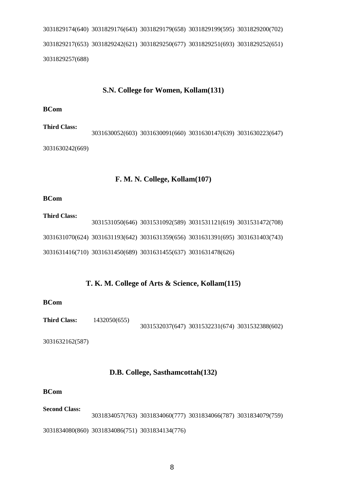3031829174(640) 3031829176(643) 3031829179(658) 3031829199(595) 3031829200(702) 3031829217(653) 3031829242(621) 3031829250(677) 3031829251(693) 3031829252(651) 3031829257(688)

## **S.N. College for Women, Kollam(131)**

#### **BCom**

**Third Class:** 3031630052(603) 3031630091(660) 3031630147(639) 3031630223(647) 3031630242(669)

#### **F. M. N. College, Kollam(107)**

#### **BCom**

**Third Class:** 3031531050(646) 3031531092(589) 3031531121(619) 3031531472(708) 3031631070(624) 3031631193(642) 3031631359(656) 3031631391(695) 3031631403(743) 3031631416(710) 3031631450(689) 3031631455(637) 3031631478(626)

## **T. K. M. College of Arts & Science, Kollam(115)**

#### **BCom**

**Third Class:** 1432050(655) 3031532037(647) 3031532231(674) 3031532388(602)

3031632162(587)

## **D.B. College, Sasthamcottah(132)**

#### **BCom**

## **Second Class:** 3031834057(763) 3031834060(777) 3031834066(787) 3031834079(759) 3031834080(860) 3031834086(751) 3031834134(776)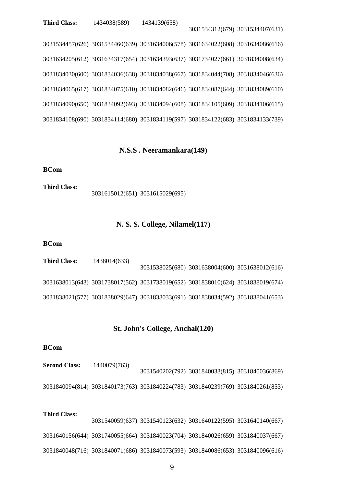3031534457(626) 3031534460(639) 3031634006(578) 3031634022(608) 3031634086(616) 3031634205(612) 3031634317(654) 3031634393(637) 3031734027(661) 3031834008(634) 3031834030(600) 3031834036(638) 3031834038(667) 3031834044(708) 3031834046(636) 3031834065(617) 3031834075(610) 3031834082(646) 3031834087(644) 3031834089(610) 3031834090(650) 3031834092(693) 3031834094(608) 3031834105(609) 3031834106(615) 3031834108(690) 3031834114(680) 3031834119(597) 3031834122(683) 3031834133(739)

3031534312(679) 3031534407(631)

## **N.S.S . Neeramankara(149)**

#### **BCom**

**Third Class:** 3031615012(651) 3031615029(695)

#### **N. S. S. College, Nilamel(117)**

#### **BCom**

| <b>Third Class:</b> | 1438014(633) |                                                                                 |  |
|---------------------|--------------|---------------------------------------------------------------------------------|--|
|                     |              | 3031538025(680) 3031638004(600) 3031638012(616)                                 |  |
|                     |              | 3031638013(643) 3031738017(562) 3031738019(652) 3031838010(624) 3031838019(674) |  |
|                     |              | 3031838021(577) 3031838029(647) 3031838033(691) 3031838034(592) 3031838041(653) |  |

#### **St. John's College, Anchal(120)**

#### **BCom**

**Second Class:** 1440079(763) 3031540202(792) 3031840033(815) 3031840036(869) 3031840094(814) 3031840173(763) 3031840224(783) 3031840239(769) 3031840261(853)

## **Third Class:** 3031540059(637) 3031540123(632) 3031640122(595) 3031640140(667) 3031640156(644) 3031740055(664) 3031840023(704) 3031840026(659) 3031840037(667) 3031840048(716) 3031840071(686) 3031840073(593) 3031840086(653) 3031840096(616)

9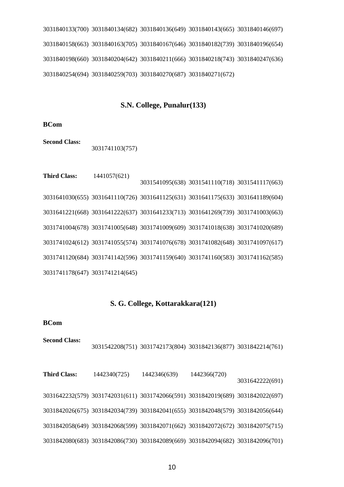3031840133(700) 3031840134(682) 3031840136(649) 3031840143(665) 3031840146(697) 3031840158(663) 3031840163(705) 3031840167(646) 3031840182(739) 3031840196(654) 3031840198(660) 3031840204(642) 3031840211(666) 3031840218(743) 3031840247(636) 3031840254(694) 3031840259(703) 3031840270(687) 3031840271(672)

#### **S.N. College, Punalur(133)**

**BCom**

**Second Class:** 3031741103(757)

**Third Class:** 1441057(621) 3031541095(638) 3031541110(718) 3031541117(663) 3031641030(655) 3031641110(726) 3031641125(631) 3031641175(633) 3031641189(604) 3031641221(668) 3031641222(637) 3031641233(713) 3031641269(739) 3031741003(663) 3031741004(678) 3031741005(648) 3031741009(609) 3031741018(638) 3031741020(689) 3031741024(612) 3031741055(574) 3031741076(678) 3031741082(648) 3031741097(617) 3031741120(684) 3031741142(596) 3031741159(640) 3031741160(583) 3031741162(585) 3031741178(647) 3031741214(645)

#### **S. G. College, Kottarakkara(121)**

**BCom**

**Second Class:**

3031542208(751) 3031742173(804) 3031842136(877) 3031842214(761)

**Third Class:** 1442340(725) 1442346(639) 1442366(720) 3031642222(691) 3031642232(579) 3031742031(611) 3031742066(591) 3031842019(689) 3031842022(697) 3031842026(675) 3031842034(739) 3031842041(655) 3031842048(579) 3031842056(644) 3031842058(649) 3031842068(599) 3031842071(662) 3031842072(672) 3031842075(715) 3031842080(683) 3031842086(730) 3031842089(669) 3031842094(682) 3031842096(701)

10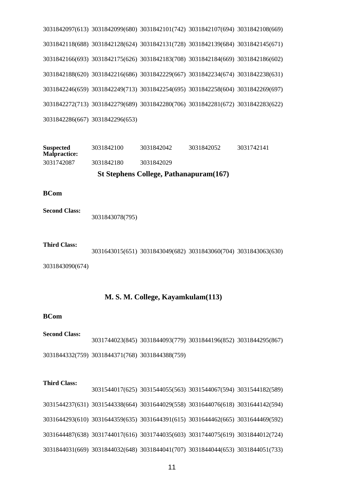3031842097(613) 3031842099(680) 3031842101(742) 3031842107(694) 3031842108(669) 3031842118(688) 3031842128(624) 3031842131(728) 3031842139(684) 3031842145(671) 3031842166(693) 3031842175(626) 3031842183(708) 3031842184(669) 3031842186(602) 3031842188(620) 3031842216(686) 3031842229(667) 3031842234(674) 3031842238(631) 3031842246(659) 3031842249(713) 3031842254(695) 3031842258(604) 3031842269(697) 3031842272(713) 3031842279(689) 3031842280(706) 3031842281(672) 3031842283(622) 3031842286(667) 3031842296(653)

**Suspected Malpractice:** 3031842100 3031842042 3031842052 3031742141 3031742087 3031842180 3031842029

## **St Stephens College, Pathanapuram(167)**

**BCom**

**Second Class:** 3031843078(795)

**Third Class:** 3031643015(651) 3031843049(682) 3031843060(704) 3031843063(630)

3031843090(674)

### **M. S. M. College, Kayamkulam(113)**

#### **BCom**

**Second Class:** 3031744023(845) 3031844093(779) 3031844196(852) 3031844295(867) 3031844332(759) 3031844371(768) 3031844388(759)

#### **Third Class:**

3031544017(625) 3031544055(563) 3031544067(594) 3031544182(589) 3031544237(631) 3031544338(664) 3031644029(558) 3031644076(618) 3031644142(594) 3031644293(610) 3031644359(635) 3031644391(615) 3031644462(665) 3031644469(592) 3031644487(638) 3031744017(616) 3031744035(603) 3031744075(619) 3031844012(724) 3031844031(669) 3031844032(648) 3031844041(707) 3031844044(653) 3031844051(733)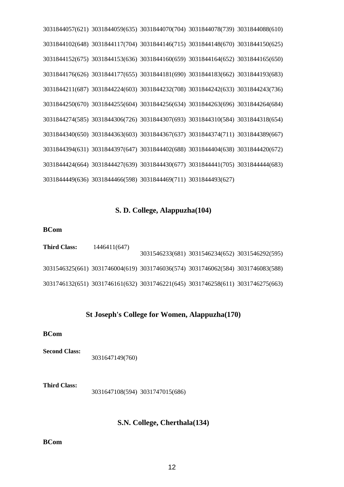3031844057(621) 3031844059(635) 3031844070(704) 3031844078(739) 3031844088(610) 3031844102(648) 3031844117(704) 3031844146(715) 3031844148(670) 3031844150(625) 3031844152(675) 3031844153(636) 3031844160(659) 3031844164(652) 3031844165(650) 3031844176(626) 3031844177(655) 3031844181(690) 3031844183(662) 3031844193(683) 3031844211(687) 3031844224(603) 3031844232(708) 3031844242(633) 3031844243(736) 3031844250(670) 3031844255(604) 3031844256(634) 3031844263(696) 3031844264(684) 3031844274(585) 3031844306(726) 3031844307(693) 3031844310(584) 3031844318(654) 3031844340(650) 3031844363(603) 3031844367(637) 3031844374(711) 3031844389(667) 3031844394(631) 3031844397(647) 3031844402(688) 3031844404(638) 3031844420(672) 3031844424(664) 3031844427(639) 3031844430(677) 3031844441(705) 3031844444(683) 3031844449(636) 3031844466(598) 3031844469(711) 3031844493(627)

### **S. D. College, Alappuzha(104)**

#### **BCom**

| <b>Third Class:</b> | 1446411(647) |                                                                                 | 3031546233(681) 3031546234(652) 3031546292(595) |  |
|---------------------|--------------|---------------------------------------------------------------------------------|-------------------------------------------------|--|
|                     |              | 3031546325(661) 3031746004(619) 3031746036(574) 3031746062(584) 3031746083(588) |                                                 |  |
|                     |              | 3031746132(651) 3031746161(632) 3031746221(645) 3031746258(611) 3031746275(663) |                                                 |  |

### **St Joseph's College for Women, Alappuzha(170)**

#### **BCom**

**Second Class:** 3031647149(760)

**Third Class:** 3031647108(594) 3031747015(686)

## **S.N. College, Cherthala(134)**

#### **BCom**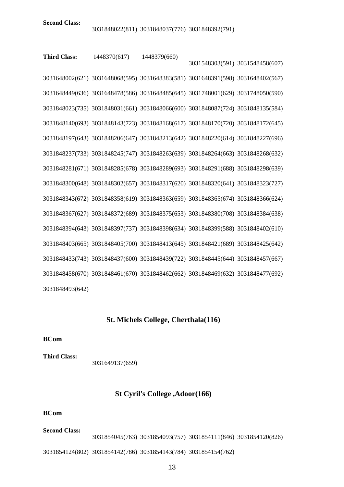**Third Class:** 1448370(617) 1448379(660) 3031548303(591) 3031548458(607) 3031648002(621) 3031648068(595) 3031648383(581) 3031648391(598) 3031648402(567) 3031648449(636) 3031648478(586) 3031648485(645) 3031748001(629) 3031748050(590) 3031848023(735) 3031848031(661) 3031848066(600) 3031848087(724) 3031848135(584) 3031848140(693) 3031848143(723) 3031848168(617) 3031848170(720) 3031848172(645) 3031848197(643) 3031848206(647) 3031848213(642) 3031848220(614) 3031848227(696) 3031848237(733) 3031848245(747) 3031848263(639) 3031848264(663) 3031848268(632) 3031848281(671) 3031848285(678) 3031848289(693) 3031848291(688) 3031848298(639) 3031848300(648) 3031848302(657) 3031848317(620) 3031848320(641) 3031848323(727) 3031848343(672) 3031848358(619) 3031848363(659) 3031848365(674) 3031848366(624) 3031848367(627) 3031848372(689) 3031848375(653) 3031848380(708) 3031848384(638) 3031848394(643) 3031848397(737) 3031848398(634) 3031848399(588) 3031848402(610) 3031848403(665) 3031848405(700) 3031848413(645) 3031848421(689) 3031848425(642) 3031848433(743) 3031848437(600) 3031848439(722) 3031848445(644) 3031848457(667) 3031848458(670) 3031848461(670) 3031848462(662) 3031848469(632) 3031848477(692) 3031848493(642)

## **St. Michels College, Cherthala(116)**

#### **BCom**

**Third Class:** 3031649137(659)

#### **St Cyril's College ,Adoor(166)**

#### **BCom**

**Second Class:** 3031854045(763) 3031854093(757) 3031854111(846) 3031854120(826)

3031854124(802) 3031854142(786) 3031854143(784) 3031854154(762)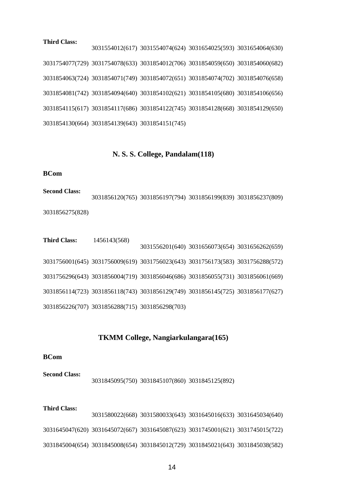#### **Third Class:**

3031554012(617) 3031554074(624) 3031654025(593) 3031654064(630) 3031754077(729) 3031754078(633) 3031854012(706) 3031854059(650) 3031854060(682) 3031854063(724) 3031854071(749) 3031854072(651) 3031854074(702) 3031854076(658) 3031854081(742) 3031854094(640) 3031854102(621) 3031854105(680) 3031854106(656) 3031854115(617) 3031854117(686) 3031854122(745) 3031854128(668) 3031854129(650) 3031854130(664) 3031854139(643) 3031854151(745)

#### **N. S. S. College, Pandalam(118)**

#### **BCom**

**Second Class:** 3031856120(765) 3031856197(794) 3031856199(839) 3031856237(809) 3031856275(828)

**Third Class:** 1456143(568) 3031556201(640) 3031656073(654) 3031656262(659) 3031756001(645) 3031756009(619) 3031756023(643) 3031756173(583) 3031756288(572) 3031756296(643) 3031856004(719) 3031856046(686) 3031856055(731) 3031856061(669) 3031856114(723) 3031856118(743) 3031856129(749) 3031856145(725) 3031856177(627) 3031856226(707) 3031856288(715) 3031856298(703)

#### **TKMM College, Nangiarkulangara(165)**

#### **BCom**

**Second Class:** 3031845095(750) 3031845107(860) 3031845125(892)

**Third Class:** 3031580022(668) 3031580033(643) 3031645016(633) 3031645034(640) 3031645047(620) 3031645072(667) 3031645087(623) 3031745001(621) 3031745015(722) 3031845004(654) 3031845008(654) 3031845012(729) 3031845021(643) 3031845038(582)

14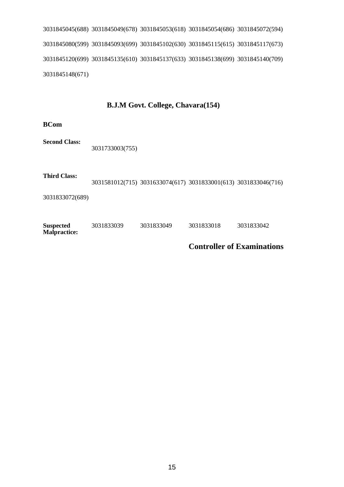3031845045(688) 3031845049(678) 3031845053(618) 3031845054(686) 3031845072(594) 3031845080(599) 3031845093(699) 3031845102(630) 3031845115(615) 3031845117(673) 3031845120(699) 3031845135(610) 3031845137(633) 3031845138(699) 3031845140(709) 3031845148(671)

## **B.J.M Govt. College, Chavara(154)**

**BCom**

**Second Class:** 3031733003(755)

**Third Class:** 3031581012(715) 3031633074(617) 3031833001(613) 3031833046(716)

3031833072(689)

| <b>Suspected</b><br><b>Malpractice:</b> | 3031833039 | 3031833049 | 3031833018 | 3031833042 |  |
|-----------------------------------------|------------|------------|------------|------------|--|
|-----------------------------------------|------------|------------|------------|------------|--|

**Controller of Examinations**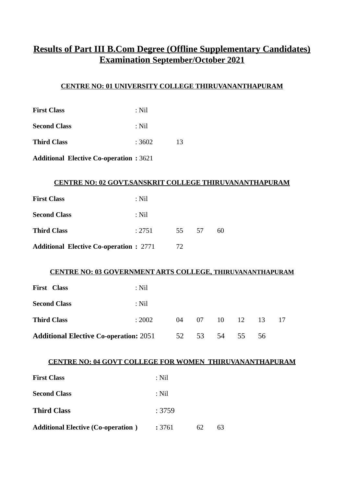## **Results of Part III B.Com Degree (Offline Supplementary Candidates) Examination September/October 2021**

## **CENTRE NO: 01 UNIVERSITY COLLEGE THIRUVANANTHAPURAM**

- **Second Class** : Nil
- **Third Class** : 3602 13
- **Additional Elective Co-operation :** 3621

## **CENTRE NO: 02 GOVT.SANSKRIT COLLEGE THIRUVANANTHAPURAM**

| <b>First Class</b>                             | : Nil  |      |     |    |
|------------------------------------------------|--------|------|-----|----|
| <b>Second Class</b>                            | : Nil  |      |     |    |
| <b>Third Class</b>                             | : 2751 | -55- | -57 | 60 |
| <b>Additional Elective Co-operation : 2771</b> |        | 72   |     |    |

## **CENTRE NO: 03 GOVERNMENT ARTS COLLEGE, THIRUVANANTHAPURAM**

| <b>First Class</b>                                  | $:$ Nil |  |      |                    |    |    |
|-----------------------------------------------------|---------|--|------|--------------------|----|----|
| <b>Second Class</b>                                 | $:$ Nil |  |      |                    |    |    |
| <b>Third Class</b>                                  | : 2002  |  |      | 04  07  10  12  13 |    | 17 |
| <b>Additional Elective Co-operation: 2051</b> 52 53 |         |  | - 54 | 55                 | 56 |    |

## **CENTRE NO: 04 GOVT COLLEGE FOR WOMEN THIRUVANANTHAPURAM**

| <b>First Class</b>                        | : Nil |    |    |
|-------------------------------------------|-------|----|----|
| <b>Second Class</b>                       | : Nil |    |    |
| <b>Third Class</b>                        | :3759 |    |    |
| <b>Additional Elective (Co-operation)</b> | :3761 | 62 | 63 |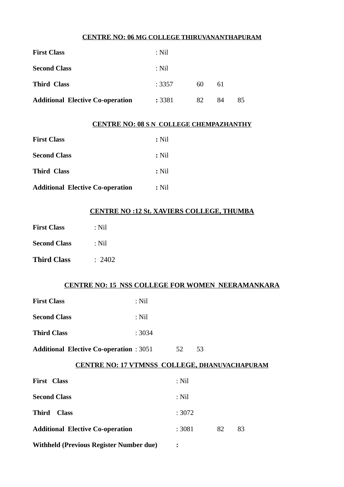### **CENTRE NO: 06 MG COLLEGE THIRUVANANTHAPURAM**

| <b>First Class</b>                      | $:$ Nil |    |    |    |
|-----------------------------------------|---------|----|----|----|
| <b>Second Class</b>                     | $:$ Nil |    |    |    |
| <b>Third Class</b>                      | :3357   | 60 | 61 |    |
| <b>Additional Elective Co-operation</b> | : 3381  | 82 | 84 | 85 |

## **CENTRE NO: 08 S N COLLEGE CHEMPAZHANTHY**

| <b>First Class</b>                      | $:$ Nil |
|-----------------------------------------|---------|
| <b>Second Class</b>                     | : Nil   |
| <b>Third Class</b>                      | $:$ Nil |
| <b>Additional Elective Co-operation</b> | : Nil   |

## **CENTRE NO :12 St. XAVIERS COLLEGE, THUMBA**

| <b>First Class</b>  | : Nil  |
|---------------------|--------|
| <b>Second Class</b> | : Nil  |
| <b>Third Class</b>  | : 2402 |

## **CENTRE NO: 15 NSS COLLEGE FOR WOMEN NEERAMANKARA**

| $:$ Nil |
|---------|
| $:$ Nil |
| : 3034  |
|         |

## Additional Elective Co-operation : 3051 52 53

## **CENTRE NO: 17 VTMNSS COLLEGE, DHANUVACHAPURAM**

| <b>First Class</b>                             | $:$ Nil |    |    |
|------------------------------------------------|---------|----|----|
| <b>Second Class</b>                            | $:$ Nil |    |    |
| Third<br><b>Class</b>                          | :3072   |    |    |
| <b>Additional Elective Co-operation</b>        | : 3081  | 82 | 83 |
| <b>Withheld (Previous Register Number due)</b> | ፡       |    |    |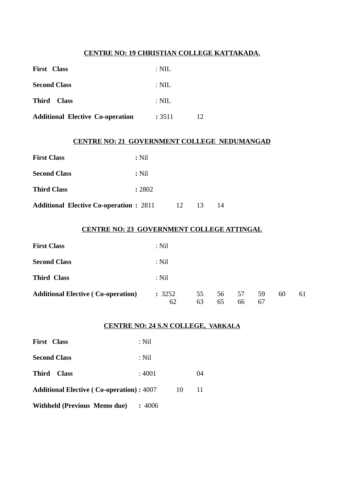## **CENTRE NO: 19 CHRISTIAN COLLEGE KATTAKADA.**

| <b>First Class</b>                      | : NIL            |    |
|-----------------------------------------|------------------|----|
| <b>Second Class</b>                     | $: \mathrm{NIL}$ |    |
| Third Class                             | : NIL            |    |
| <b>Additional Elective Co-operation</b> | : 3511           | 12 |

### **CENTRE NO: 21 GOVERNMENT COLLEGE NEDUMANGAD**

| <b>First Class</b>                             | $:$ Nil |    |    |    |
|------------------------------------------------|---------|----|----|----|
| <b>Second Class</b>                            | $:$ Nil |    |    |    |
| <b>Third Class</b>                             | : 2802  |    |    |    |
| <b>Additional Elective Co-operation : 2811</b> |         | 12 | 13 | 14 |

## **CENTRE NO: 23 GOVERNMENT COLLEGE ATTINGAL**

| <b>First Class</b>                        | $:$ Nil      |          |          |          |          |    |    |
|-------------------------------------------|--------------|----------|----------|----------|----------|----|----|
| <b>Second Class</b>                       | $:$ Nil      |          |          |          |          |    |    |
| <b>Third Class</b>                        | $:$ Nil      |          |          |          |          |    |    |
| <b>Additional Elective (Co-operation)</b> | : 3252<br>62 | 55<br>63 | 56<br>65 | 57<br>66 | 59<br>67 | 60 | 61 |

#### **CENTRE NO: 24 S.N COLLEGE, VARKALA**

| <b>First Class</b>                              | : Nil  |    |    |
|-------------------------------------------------|--------|----|----|
| <b>Second Class</b>                             | : Nil  |    |    |
| Third<br><b>Class</b>                           | : 4001 |    | 04 |
| <b>Additional Elective (Co-operation): 4007</b> |        | 10 | 11 |
| <b>Withheld (Previous Memo due)</b>             | :4006  |    |    |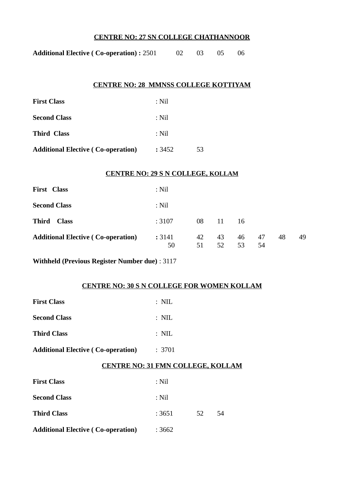## **CENTRE NO: 27 SN COLLEGE CHATHANNOOR**

| <b>Additional Elective (Co-operation): 2501</b> |  | 02 03 05 06 |  |
|-------------------------------------------------|--|-------------|--|
|                                                 |  |             |  |

### **CENTRE NO: 28 MMNSS COLLEGE KOTTIYAM**

| <b>First Class</b>                        | : Nil  |    |
|-------------------------------------------|--------|----|
| <b>Second Class</b>                       | : Nil  |    |
| <b>Third Class</b>                        | : Nil  |    |
| <b>Additional Elective (Co-operation)</b> | : 3452 | 53 |

#### **CENTRE NO: 29 S N COLLEGE, KOLLAM**

| <b>First Class</b>                        | $:$ Nil      |          |          |          |          |    |    |
|-------------------------------------------|--------------|----------|----------|----------|----------|----|----|
| <b>Second Class</b>                       | $:$ Nil      |          |          |          |          |    |    |
| <b>Third</b><br><b>Class</b>              | :3107        | 08       | 11       | 16       |          |    |    |
| <b>Additional Elective (Co-operation)</b> | : 3141<br>50 | 42<br>51 | 43<br>52 | 46<br>53 | 47<br>54 | 48 | 49 |

**Withheld (Previous Register Number due)** : 3117

## **CENTRE NO: 30 S N COLLEGE FOR WOMEN KOLLAM**

| <b>First Class</b>                        | $: \mathbb{N}\mathbb{L}$ |    |    |  |
|-------------------------------------------|--------------------------|----|----|--|
| <b>Second Class</b>                       | $:$ NIL                  |    |    |  |
| <b>Third Class</b>                        | $:$ NIL                  |    |    |  |
| Additional Elective ( Co-operation)       | :3701                    |    |    |  |
| <b>CENTRE NO: 31 FMN COLLEGE, KOLLAM</b>  |                          |    |    |  |
| <b>First Class</b>                        | $:$ Nil                  |    |    |  |
| <b>Second Class</b>                       | $:$ Nil                  |    |    |  |
| <b>Third Class</b>                        | : 3651                   | 52 | 54 |  |
| <b>Additional Elective (Co-operation)</b> | :3662                    |    |    |  |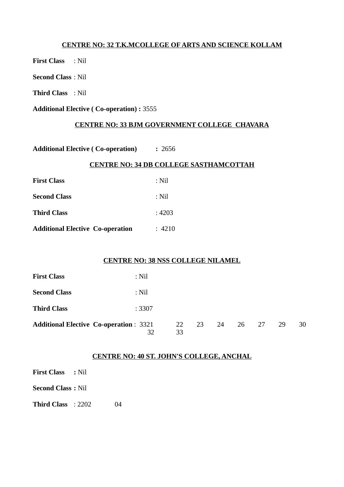## **CENTRE NO: 32 T.K.MCOLLEGE OF ARTS AND SCIENCE KOLLAM**

**First Class** : Nil

**Second Class** : Nil

**Third Class** : Nil

**Additional Elective ( Co-operation) :** 3555

## **CENTRE NO: 33 BJM GOVERNMENT COLLEGE CHAVARA**

**Additional Elective ( Co-operation) :** 2656

#### **CENTRE NO: 34 DB COLLEGE SASTHAMCOTTAH**

| <b>First Class</b>                      | : Nil  |
|-----------------------------------------|--------|
| <b>Second Class</b>                     | : Nil  |
| <b>Third Class</b>                      | :4203  |
| <b>Additional Elective Co-operation</b> | : 4210 |

### **CENTRE NO: 38 NSS COLLEGE NILAMEL**

| <b>First Class</b>                            | $:$ Nil |    |       |    |    |    |    |    |
|-----------------------------------------------|---------|----|-------|----|----|----|----|----|
| <b>Second Class</b>                           | $:$ Nil |    |       |    |    |    |    |    |
| <b>Third Class</b>                            | :3307   |    |       |    |    |    |    |    |
| <b>Additional Elective Co-operation: 3321</b> | 32      | 33 | 22 23 | 24 | 26 | 27 | 29 | 30 |

#### **CENTRE NO: 40 ST. JOHN'S COLLEGE, ANCHAL**

| <b>First Class</b> : Nil  |    |  |
|---------------------------|----|--|
| <b>Second Class : Nil</b> |    |  |
| <b>Third Class</b> : 2202 | 04 |  |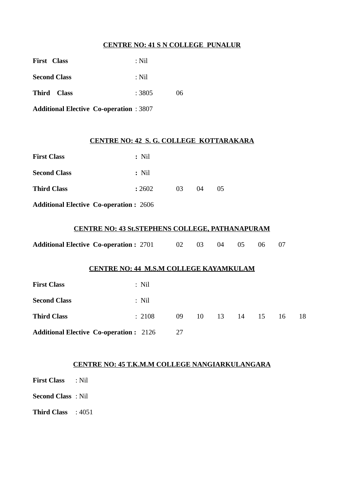## **CENTRE NO: 41 S N COLLEGE PUNALUR**

| : Nil  |    |
|--------|----|
| : Nil  |    |
| : 3805 | 06 |
|        |    |

**Additional Elective Co-operation** : 3807

#### **CENTRE NO: 42 S. G. COLLEGE KOTTARAKARA**

| <b>First Class</b>                            | $:$ Nil |    |           |                |  |
|-----------------------------------------------|---------|----|-----------|----------------|--|
| <b>Second Class</b>                           | $:$ Nil |    |           |                |  |
| <b>Third Class</b>                            | : 2602  | 03 | $^{(14)}$ | 0 <sub>5</sub> |  |
| <b>Additional Elective Co-operation: 2606</b> |         |    |           |                |  |

## **CENTRE NO: 43 St.STEPHENS COLLEGE, PATHANAPURAM**

| <b>Additional Elective Co-operation: 2701</b> |  | 02 03 04 05 06 07 |  |  |
|-----------------------------------------------|--|-------------------|--|--|
|                                               |  |                   |  |  |

#### **CENTRE NO: 44 M.S.M COLLEGE KAYAMKULAM**

| <b>First Class</b>                            | $:$ Nil |    |             |  |    |     |
|-----------------------------------------------|---------|----|-------------|--|----|-----|
| <b>Second Class</b>                           | $:$ Nil |    |             |  |    |     |
| <b>Third Class</b>                            | :2108   | 09 | 10 13 14 15 |  | 16 | -18 |
| <b>Additional Elective Co-operation: 2126</b> |         | 27 |             |  |    |     |

## **CENTRE NO: 45 T.K.M.M COLLEGE NANGIARKULANGARA**

|  |  | <b>First Class</b> |  | : Nil |
|--|--|--------------------|--|-------|
|--|--|--------------------|--|-------|

**Second Class** : Nil

**Third Class** : 4051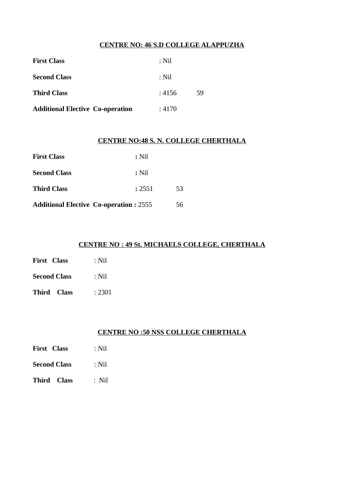## **CENTRE NO: 46 S.D COLLEGE ALAPPUZHA**

| <b>First Class</b>                      | : Nil  |    |
|-----------------------------------------|--------|----|
| <b>Second Class</b>                     | : Nil  |    |
| <b>Third Class</b>                      | : 4156 | 59 |
| <b>Additional Elective Co-operation</b> | : 4170 |    |

### **CENTRE NO:48 S. N. COLLEGE CHERTHALA**

| <b>First Class</b>                            | $:$ Nil |    |
|-----------------------------------------------|---------|----|
| <b>Second Class</b>                           | $:$ Nil |    |
| <b>Third Class</b>                            | : 2551  | 53 |
| <b>Additional Elective Co-operation: 2555</b> |         | 56 |

## **CENTRE NO : 49 St. MICHAELS COLLEGE, CHERTHALA**

| <b>First Class</b>  | : Nil |
|---------------------|-------|
| <b>Second Class</b> | : Nil |

**Third Class** : 2301

## **CENTRE NO :50 NSS COLLEGE CHERTHALA**

| <b>First Class</b> | $:$ Nil |
|--------------------|---------|
|                    |         |

- **Second Class** : Nil
- **Third Class** : Nil